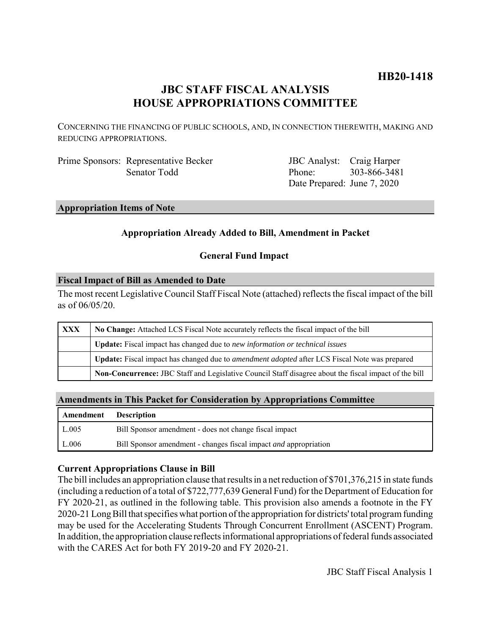# **HB20-1418**

## **JBC STAFF FISCAL ANALYSIS HOUSE APPROPRIATIONS COMMITTEE**

CONCERNING THE FINANCING OF PUBLIC SCHOOLS, AND, IN CONNECTION THEREWITH, MAKING AND REDUCING APPROPRIATIONS.

Prime Sponsors: Representative Becker Senator Todd

JBC Analyst: Craig Harper Phone: Date Prepared: June 7, 2020 303-866-3481

## **Appropriation Items of Note**

## **Appropriation Already Added to Bill, Amendment in Packet**

## **General Fund Impact**

## **Fiscal Impact of Bill as Amended to Date**

The most recent Legislative Council Staff Fiscal Note (attached) reflects the fiscal impact of the bill as of 06/05/20.

| <b>XXX</b> | No Change: Attached LCS Fiscal Note accurately reflects the fiscal impact of the bill                 |  |  |  |  |
|------------|-------------------------------------------------------------------------------------------------------|--|--|--|--|
|            | <b>Update:</b> Fiscal impact has changed due to new information or technical issues                   |  |  |  |  |
|            | Update: Fiscal impact has changed due to <i>amendment adopted</i> after LCS Fiscal Note was prepared  |  |  |  |  |
|            | Non-Concurrence: JBC Staff and Legislative Council Staff disagree about the fiscal impact of the bill |  |  |  |  |

## **Amendments in This Packet for Consideration by Appropriations Committee**

| <b>Amendment</b> Description |                                                                         |
|------------------------------|-------------------------------------------------------------------------|
| L.005                        | Bill Sponsor amendment - does not change fiscal impact                  |
| L.006                        | Bill Sponsor amendment - changes fiscal impact <i>and</i> appropriation |

## **Current Appropriations Clause in Bill**

The bill includes an appropriation clause that results in a net reduction of \$701,376,215 in state funds (including a reduction of a total of \$722,777,639 General Fund) for the Department of Education for FY 2020-21, as outlined in the following table. This provision also amends a footnote in the FY 2020-21 Long Bill that specifies what portion of the appropriation for districts' total program funding may be used for the Accelerating Students Through Concurrent Enrollment (ASCENT) Program. In addition, the appropriation clause reflects informational appropriations of federal funds associated with the CARES Act for both FY 2019-20 and FY 2020-21.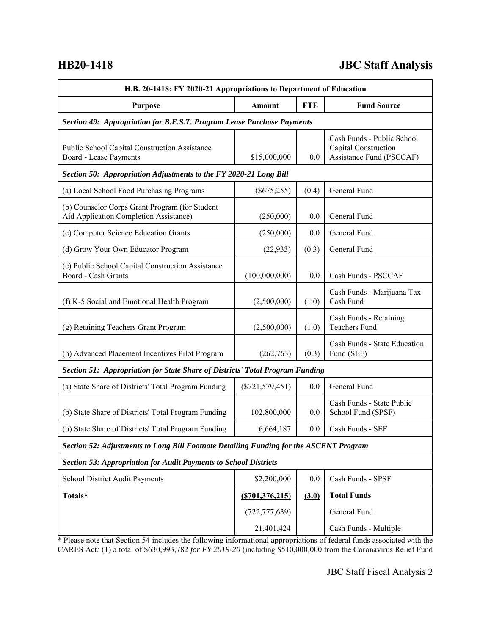# **HB20-1418 JBC Staff Analysis**

| H.B. 20-1418: FY 2020-21 Appropriations to Department of Education                       |                   |            |                                                                                |  |  |  |
|------------------------------------------------------------------------------------------|-------------------|------------|--------------------------------------------------------------------------------|--|--|--|
| <b>Purpose</b>                                                                           | Amount            | <b>FTE</b> | <b>Fund Source</b>                                                             |  |  |  |
| Section 49: Appropriation for B.E.S.T. Program Lease Purchase Payments                   |                   |            |                                                                                |  |  |  |
| Public School Capital Construction Assistance<br>Board - Lease Payments                  | \$15,000,000      | 0.0        | Cash Funds - Public School<br>Capital Construction<br>Assistance Fund (PSCCAF) |  |  |  |
| Section 50: Appropriation Adjustments to the FY 2020-21 Long Bill                        |                   |            |                                                                                |  |  |  |
| (a) Local School Food Purchasing Programs                                                | $(\$675,255)$     | (0.4)      | General Fund                                                                   |  |  |  |
| (b) Counselor Corps Grant Program (for Student<br>Aid Application Completion Assistance) | (250,000)         | 0.0        | General Fund                                                                   |  |  |  |
| (c) Computer Science Education Grants                                                    | (250,000)         | 0.0        | General Fund                                                                   |  |  |  |
| (d) Grow Your Own Educator Program                                                       | (22, 933)         | (0.3)      | General Fund                                                                   |  |  |  |
| (e) Public School Capital Construction Assistance<br>Board - Cash Grants                 | (100,000,000)     | 0.0        | Cash Funds - PSCCAF                                                            |  |  |  |
| (f) K-5 Social and Emotional Health Program                                              | (2,500,000)       | (1.0)      | Cash Funds - Marijuana Tax<br>Cash Fund                                        |  |  |  |
| (g) Retaining Teachers Grant Program                                                     | (2,500,000)       | (1.0)      | Cash Funds - Retaining<br><b>Teachers Fund</b>                                 |  |  |  |
| (h) Advanced Placement Incentives Pilot Program                                          | (262,763)         | (0.3)      | Cash Funds - State Education<br>Fund (SEF)                                     |  |  |  |
| Section 51: Appropriation for State Share of Districts' Total Program Funding            |                   |            |                                                                                |  |  |  |
| (a) State Share of Districts' Total Program Funding                                      | $(\$721,579,451)$ | 0.0        | General Fund                                                                   |  |  |  |
| (b) State Share of Districts' Total Program Funding                                      | 102,800,000       | 0.0        | Cash Funds - State Public<br>School Fund (SPSF)                                |  |  |  |
| (b) State Share of Districts' Total Program Funding                                      | 6,664,187         | 0.0        | Cash Funds - SEF                                                               |  |  |  |
| Section 52: Adjustments to Long Bill Footnote Detailing Funding for the ASCENT Program   |                   |            |                                                                                |  |  |  |
| <b>Section 53: Appropriation for Audit Payments to School Districts</b>                  |                   |            |                                                                                |  |  |  |
| School District Audit Payments                                                           | \$2,200,000       | 0.0        | Cash Funds - SPSF                                                              |  |  |  |
| Totals*                                                                                  | (S701, 376, 215)  | (3.0)      | <b>Total Funds</b>                                                             |  |  |  |
|                                                                                          | (722, 777, 639)   |            | General Fund                                                                   |  |  |  |
|                                                                                          | 21,401,424        |            | Cash Funds - Multiple                                                          |  |  |  |

\* Please note that Section 54 includes the following informational appropriations of federal funds associated with the CARES Act*:* (1) a total of \$630,993,782 *for FY 2019-20* (including \$510,000,000 from the Coronavirus Relief Fund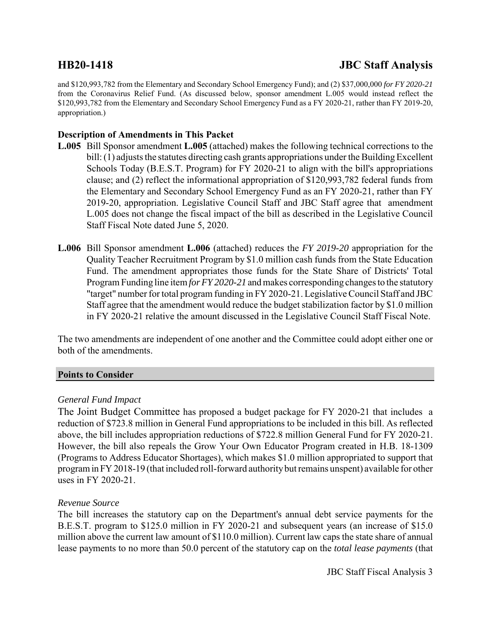# **HB20-1418 JBC Staff Analysis**

and \$120,993,782 from the Elementary and Secondary School Emergency Fund); and (2) \$37,000,000 *for FY 2020-21* from the Coronavirus Relief Fund. (As discussed below, sponsor amendment L.005 would instead reflect the \$120,993,782 from the Elementary and Secondary School Emergency Fund as a FY 2020-21, rather than FY 2019-20, appropriation.)

## **Description of Amendments in This Packet**

- **L.005** Bill Sponsor amendment **L.005** (attached) makes the following technical corrections to the bill: (1) adjusts the statutes directing cash grants appropriations under the Building Excellent Schools Today (B.E.S.T. Program) for FY 2020-21 to align with the bill's appropriations clause; and (2) reflect the informational appropriation of \$120,993,782 federal funds from the Elementary and Secondary School Emergency Fund as an FY 2020-21, rather than FY 2019-20, appropriation. Legislative Council Staff and JBC Staff agree that amendment L.005 does not change the fiscal impact of the bill as described in the Legislative Council Staff Fiscal Note dated June 5, 2020.
- **L.006** Bill Sponsor amendment **L.006** (attached) reduces the *FY 2019-20* appropriation for the Quality Teacher Recruitment Program by \$1.0 million cash funds from the State Education Fund. The amendment appropriates those funds for the State Share of Districts' Total Program Funding line item *for FY 2020-21* and makes corresponding changes to the statutory "target" number for total program funding in FY 2020-21. Legislative Council Staff and JBC Staff agree that the amendment would reduce the budget stabilization factor by \$1.0 million in FY 2020-21 relative the amount discussed in the Legislative Council Staff Fiscal Note.

The two amendments are independent of one another and the Committee could adopt either one or both of the amendments.

## **Points to Consider**

## *General Fund Impact*

The Joint Budget Committee has proposed a budget package for FY 2020-21 that includes a reduction of \$723.8 million in General Fund appropriations to be included in this bill. As reflected above, the bill includes appropriation reductions of \$722.8 million General Fund for FY 2020-21. However, the bill also repeals the Grow Your Own Educator Program created in H.B. 18-1309 (Programs to Address Educator Shortages), which makes \$1.0 million appropriated to support that program in FY 2018-19 (that included roll-forward authority but remains unspent) available for other uses in FY 2020-21.

## *Revenue Source*

The bill increases the statutory cap on the Department's annual debt service payments for the B.E.S.T. program to \$125.0 million in FY 2020-21 and subsequent years (an increase of \$15.0 million above the current law amount of \$110.0 million). Current law caps the state share of annual lease payments to no more than 50.0 percent of the statutory cap on the *total lease payments* (that